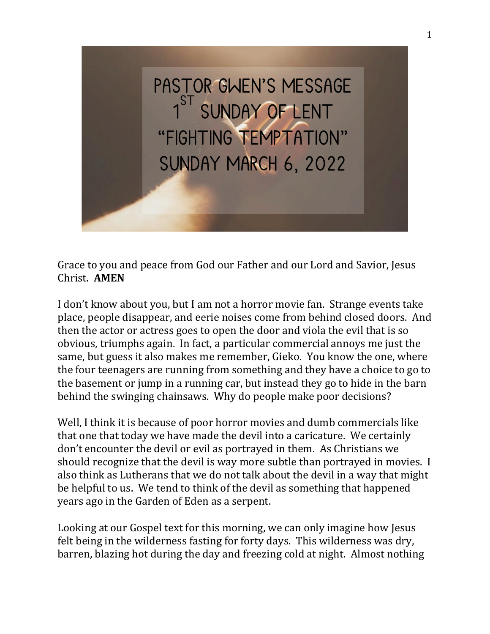

Grace to you and peace from God our Father and our Lord and Savior, Jesus Christ. **AMEN**

I don't know about you, but I am not a horror movie fan. Strange events take place, people disappear, and eerie noises come from behind closed doors. And then the actor or actress goes to open the door and viola the evil that is so obvious, triumphs again. In fact, a particular commercial annoys me just the same, but guess it also makes me remember, Gieko. You know the one, where the four teenagers are running from something and they have a choice to go to the basement or jump in a running car, but instead they go to hide in the barn behind the swinging chainsaws. Why do people make poor decisions?

Well, I think it is because of poor horror movies and dumb commercials like that one that today we have made the devil into a caricature. We certainly don't encounter the devil or evil as portrayed in them. As Christians we should recognize that the devil is way more subtle than portrayed in movies. I also think as Lutherans that we do not talk about the devil in a way that might be helpful to us. We tend to think of the devil as something that happened years ago in the Garden of Eden as a serpent.

Looking at our Gospel text for this morning, we can only imagine how Jesus felt being in the wilderness fasting for forty days. This wilderness was dry, barren, blazing hot during the day and freezing cold at night. Almost nothing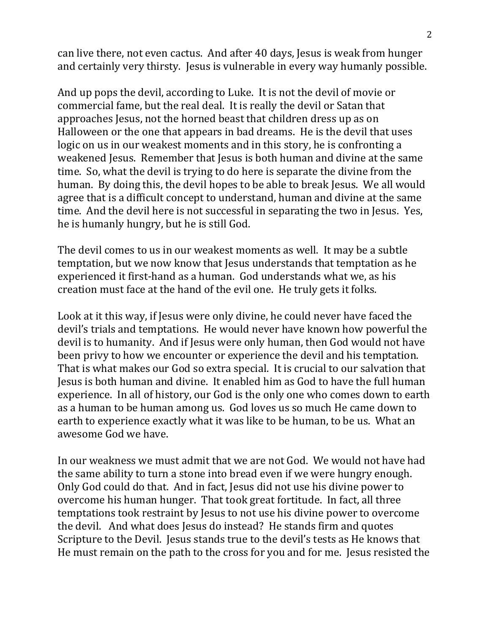can live there, not even cactus. And after 40 days, Jesus is weak from hunger and certainly very thirsty. Jesus is vulnerable in every way humanly possible.

And up pops the devil, according to Luke. It is not the devil of movie or commercial fame, but the real deal. It is really the devil or Satan that approaches Jesus, not the horned beast that children dress up as on Halloween or the one that appears in bad dreams. He is the devil that uses logic on us in our weakest moments and in this story, he is confronting a weakened Jesus. Remember that Jesus is both human and divine at the same time. So, what the devil is trying to do here is separate the divine from the human. By doing this, the devil hopes to be able to break Jesus. We all would agree that is a difficult concept to understand, human and divine at the same time. And the devil here is not successful in separating the two in Jesus. Yes, he is humanly hungry, but he is still God.

The devil comes to us in our weakest moments as well. It may be a subtle temptation, but we now know that Jesus understands that temptation as he experienced it first-hand as a human. God understands what we, as his creation must face at the hand of the evil one. He truly gets it folks.

Look at it this way, if Jesus were only divine, he could never have faced the devil's trials and temptations. He would never have known how powerful the devil is to humanity. And if Jesus were only human, then God would not have been privy to how we encounter or experience the devil and his temptation. That is what makes our God so extra special. It is crucial to our salvation that Jesus is both human and divine. It enabled him as God to have the full human experience. In all of history, our God is the only one who comes down to earth as a human to be human among us. God loves us so much He came down to earth to experience exactly what it was like to be human, to be us. What an awesome God we have.

In our weakness we must admit that we are not God. We would not have had the same ability to turn a stone into bread even if we were hungry enough. Only God could do that. And in fact, Jesus did not use his divine power to overcome his human hunger. That took great fortitude. In fact, all three temptations took restraint by Jesus to not use his divine power to overcome the devil. And what does Jesus do instead? He stands firm and quotes Scripture to the Devil. Jesus stands true to the devil's tests as He knows that He must remain on the path to the cross for you and for me. Jesus resisted the